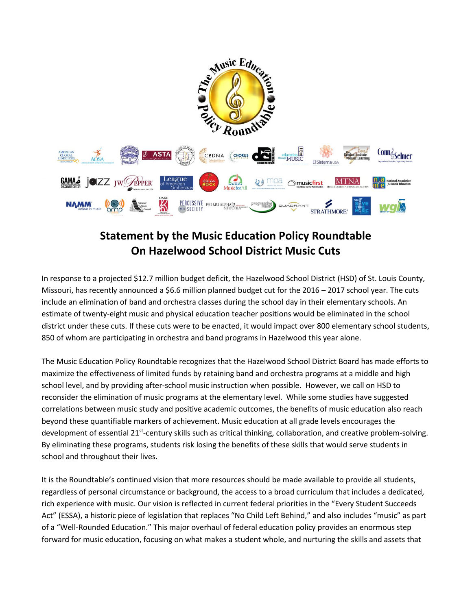

## **Statement by the Music Education Policy Roundtable On Hazelwood School District Music Cuts**

In response to a projected \$12.7 million budget deficit, the Hazelwood School District (HSD) of St. Louis County, Missouri, has recently announced a \$6.6 million planned budget cut for the 2016 – 2017 school year. The cuts include an elimination of band and orchestra classes during the school day in their elementary schools. An estimate of twenty-eight music and physical education teacher positions would be eliminated in the school district under these cuts. If these cuts were to be enacted, it would impact over 800 elementary school students, 850 of whom are participating in orchestra and band programs in Hazelwood this year alone.

The Music Education Policy Roundtable recognizes that the Hazelwood School District Board has made efforts to maximize the effectiveness of limited funds by retaining band and orchestra programs at a middle and high school level, and by providing after-school music instruction when possible. However, we call on HSD to reconsider the elimination of music programs at the elementary level. While some studies have suggested correlations between music study and positive academic outcomes, the benefits of music education also reach beyond these quantifiable markers of achievement. Music education at all grade levels encourages the development of essential 21<sup>st</sup>-century skills such as critical thinking, collaboration, and creative problem-solving. By eliminating these programs, students risk losing the benefits of these skills that would serve students in school and throughout their lives.

It is the Roundtable's continued vision that more resources should be made available to provide all students, regardless of personal circumstance or background, the access to a broad curriculum that includes a dedicated, rich experience with music. Our vision is reflected in current federal priorities in the "Every Student Succeeds Act" (ESSA), a historic piece of legislation that replaces "No Child Left Behind," and also includes "music" as part of a "Well-Rounded Education." This major overhaul of federal education policy provides an enormous step forward for music education, focusing on what makes a student whole, and nurturing the skills and assets that